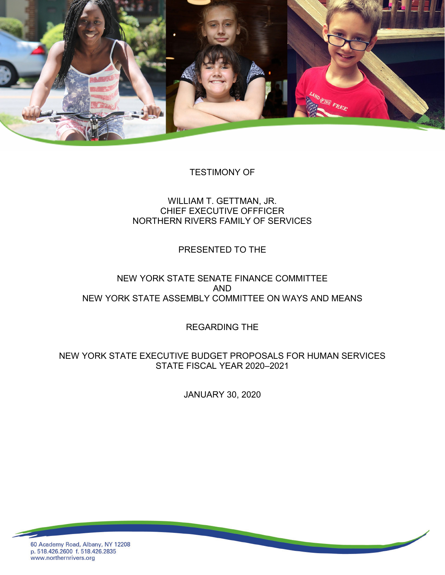

### TESTIMONY OF

## WILLIAM T. GETTMAN, JR. CHIEF EXECUTIVE OFFFICER NORTHERN RIVERS FAMILY OF SERVICES

### PRESENTED TO THE

## NEW YORK STATE SENATE FINANCE COMMITTEE AND NEW YORK STATE ASSEMBLY COMMITTEE ON WAYS AND MEANS

## REGARDING THE

## NEW YORK STATE EXECUTIVE BUDGET PROPOSALS FOR HUMAN SERVICES STATE FISCAL YEAR 2020–2021

JANUARY 30, 2020

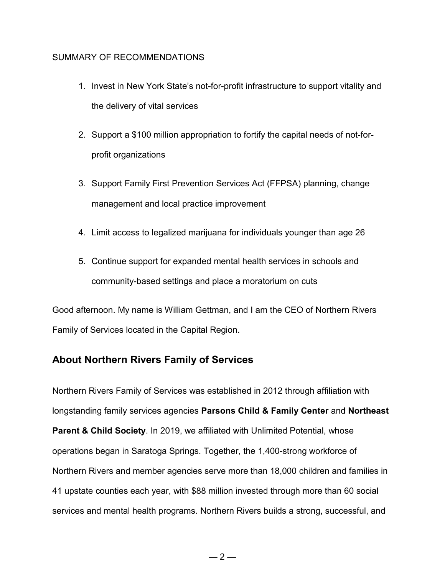#### SUMMARY OF RECOMMENDATIONS

- 1. Invest in New York State's not-for-profit infrastructure to support vitality and the delivery of vital services
- 2. Support a \$100 million appropriation to fortify the capital needs of not-forprofit organizations
- 3. Support Family First Prevention Services Act (FFPSA) planning, change management and local practice improvement
- 4. Limit access to legalized marijuana for individuals younger than age 26
- 5. Continue support for expanded mental health services in schools and community-based settings and place a moratorium on cuts

Good afternoon. My name is William Gettman, and I am the CEO of Northern Rivers Family of Services located in the Capital Region.

## **About Northern Rivers Family of Services**

Northern Rivers Family of Services was established in 2012 through affiliation with longstanding family services agencies **Parsons Child & Family Center** and **Northeast Parent & Child Society**. In 2019, we affiliated with Unlimited Potential, whose operations began in Saratoga Springs. Together, the 1,400-strong workforce of Northern Rivers and member agencies serve more than 18,000 children and families in 41 upstate counties each year, with \$88 million invested through more than 60 social services and mental health programs. Northern Rivers builds a strong, successful, and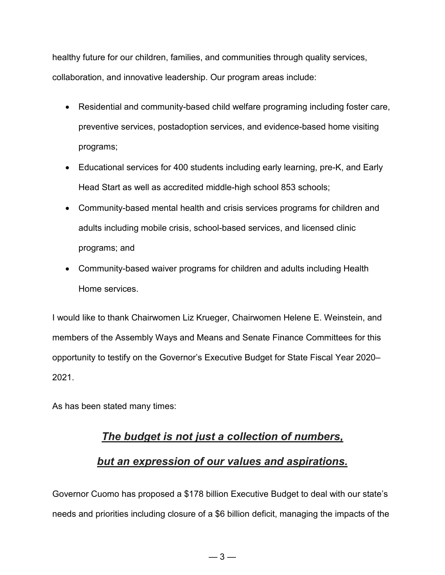healthy future for our children, families, and communities through quality services, collaboration, and innovative leadership. Our program areas include:

- Residential and community-based child welfare programing including foster care, preventive services, postadoption services, and evidence-based home visiting programs;
- Educational services for 400 students including early learning, pre-K, and Early Head Start as well as accredited middle-high school 853 schools;
- Community-based mental health and crisis services programs for children and adults including mobile crisis, school-based services, and licensed clinic programs; and
- Community-based waiver programs for children and adults including Health Home services.

I would like to thank Chairwomen Liz Krueger, Chairwomen Helene E. Weinstein, and members of the Assembly Ways and Means and Senate Finance Committees for this opportunity to testify on the Governor's Executive Budget for State Fiscal Year 2020– 2021.

As has been stated many times:

## *[The budget is not just a collection of numbers,](https://www.brainyquote.com/quotes/jacob_lew_442942)*

## *[but an expression of our values and aspirations.](https://www.brainyquote.com/quotes/jacob_lew_442942)*

Governor Cuomo has proposed a \$178 billion Executive Budget to deal with our state's needs and priorities including closure of a \$6 billion deficit, managing the impacts of the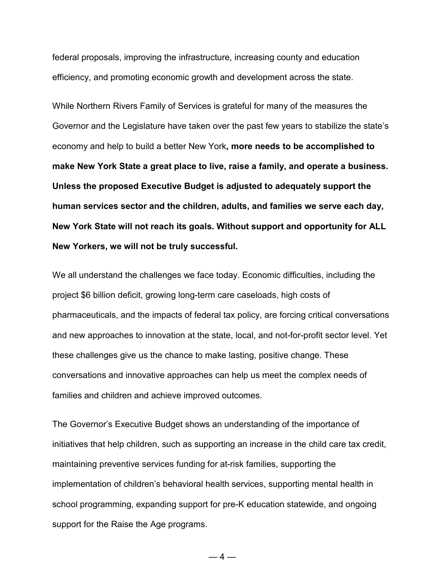federal proposals, improving the infrastructure, increasing county and education efficiency, and promoting economic growth and development across the state.

While Northern Rivers Family of Services is grateful for many of the measures the Governor and the Legislature have taken over the past few years to stabilize the state's economy and help to build a better New York**, more needs to be accomplished to make New York State a great place to live, raise a family, and operate a business. Unless the proposed Executive Budget is adjusted to adequately support the human services sector and the children, adults, and families we serve each day, New York State will not reach its goals. Without support and opportunity for ALL New Yorkers, we will not be truly successful.**

We all understand the challenges we face today. Economic difficulties, including the project \$6 billion deficit, growing long-term care caseloads, high costs of pharmaceuticals, and the impacts of federal tax policy, are forcing critical conversations and new approaches to innovation at the state, local, and not-for-profit sector level. Yet these challenges give us the chance to make lasting, positive change. These conversations and innovative approaches can help us meet the complex needs of families and children and achieve improved outcomes.

The Governor's Executive Budget shows an understanding of the importance of initiatives that help children, such as supporting an increase in the child care tax credit, maintaining preventive services funding for at-risk families, supporting the implementation of children's behavioral health services, supporting mental health in school programming, expanding support for pre-K education statewide, and ongoing support for the Raise the Age programs.

 $-4-$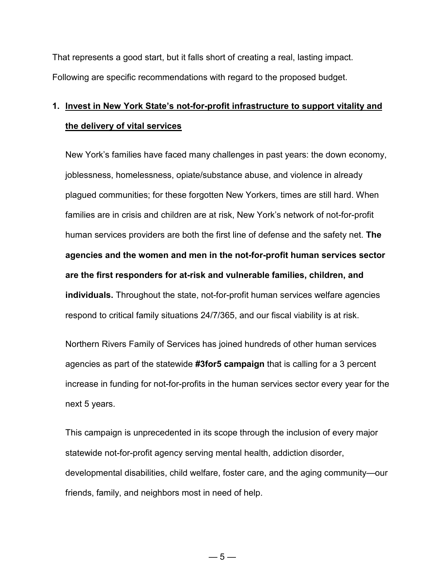That represents a good start, but it falls short of creating a real, lasting impact. Following are specific recommendations with regard to the proposed budget.

# **1. Invest in New York State's not-for-profit infrastructure to support vitality and the delivery of vital services**

New York's families have faced many challenges in past years: the down economy, joblessness, homelessness, opiate/substance abuse, and violence in already plagued communities; for these forgotten New Yorkers, times are still hard. When families are in crisis and children are at risk, New York's network of not-for-profit human services providers are both the first line of defense and the safety net. **The agencies and the women and men in the not-for-profit human services sector are the first responders for at-risk and vulnerable families, children, and individuals.** Throughout the state, not-for-profit human services welfare agencies respond to critical family situations 24/7/365, and our fiscal viability is at risk.

Northern Rivers Family of Services has joined hundreds of other human services agencies as part of the statewide **#3for5 campaign** that is calling for a 3 percent increase in funding for not-for-profits in the human services sector every year for the next 5 years.

This campaign is unprecedented in its scope through the inclusion of every major statewide not-for-profit agency serving mental health, addiction disorder, developmental disabilities, child welfare, foster care, and the aging community—our friends, family, and neighbors most in need of help.

 $-5-$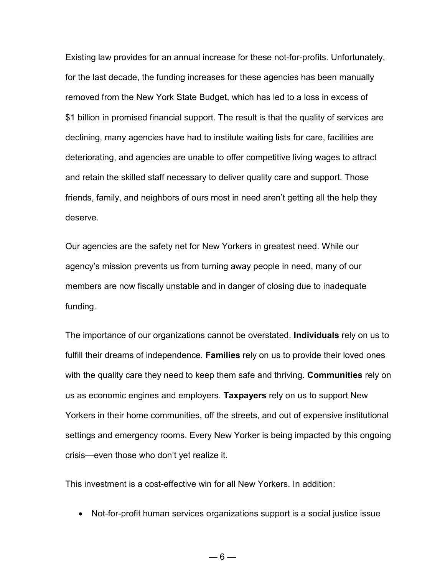Existing law provides for an annual increase for these not-for-profits. Unfortunately, for the last decade, the funding increases for these agencies has been manually removed from the New York State Budget, which has led to a loss in excess of \$1 billion in promised financial support. The result is that the quality of services are declining, many agencies have had to institute waiting lists for care, facilities are deteriorating, and agencies are unable to offer competitive living wages to attract and retain the skilled staff necessary to deliver quality care and support. Those friends, family, and neighbors of ours most in need aren't getting all the help they deserve.

Our agencies are the safety net for New Yorkers in greatest need. While our agency's mission prevents us from turning away people in need, many of our members are now fiscally unstable and in danger of closing due to inadequate funding.

The importance of our organizations cannot be overstated. **Individuals** rely on us to fulfill their dreams of independence. **Families** rely on us to provide their loved ones with the quality care they need to keep them safe and thriving. **Communities** rely on us as economic engines and employers. **Taxpayers** rely on us to support New Yorkers in their home communities, off the streets, and out of expensive institutional settings and emergency rooms. Every New Yorker is being impacted by this ongoing crisis—even those who don't yet realize it.

This investment is a cost-effective win for all New Yorkers. In addition:

• Not-for-profit human services organizations support is a social justice issue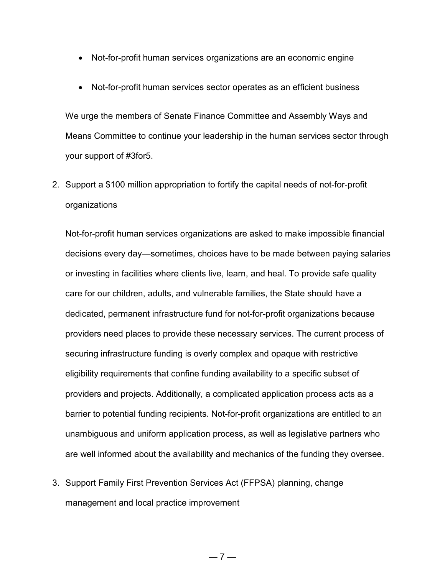- Not-for-profit human services organizations are an economic engine
- Not-for-profit human services sector operates as an efficient business

We urge the members of Senate Finance Committee and Assembly Ways and Means Committee to continue your leadership in the human services sector through your support of #3for5.

2. Support a \$100 million appropriation to fortify the capital needs of not-for-profit organizations

Not-for-profit human services organizations are asked to make impossible financial decisions every day—sometimes, choices have to be made between paying salaries or investing in facilities where clients live, learn, and heal. To provide safe quality care for our children, adults, and vulnerable families, the State should have a dedicated, permanent infrastructure fund for not-for-profit organizations because providers need places to provide these necessary services. The current process of securing infrastructure funding is overly complex and opaque with restrictive eligibility requirements that confine funding availability to a specific subset of providers and projects. Additionally, a complicated application process acts as a barrier to potential funding recipients. Not-for-profit organizations are entitled to an unambiguous and uniform application process, as well as legislative partners who are well informed about the availability and mechanics of the funding they oversee.

3. Support Family First Prevention Services Act (FFPSA) planning, change management and local practice improvement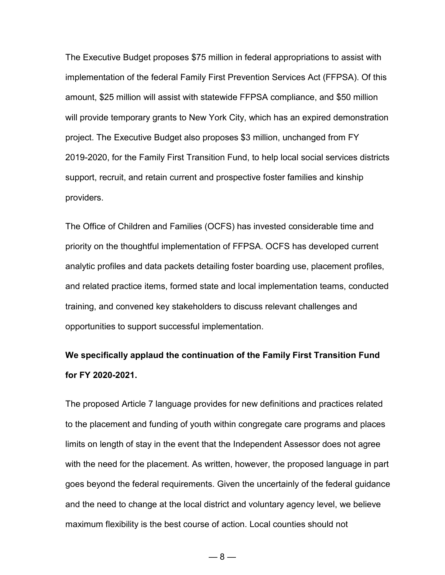The Executive Budget proposes \$75 million in federal appropriations to assist with implementation of the federal Family First Prevention Services Act (FFPSA). Of this amount, \$25 million will assist with statewide FFPSA compliance, and \$50 million will provide temporary grants to New York City, which has an expired demonstration project. The Executive Budget also proposes \$3 million, unchanged from FY 2019-2020, for the Family First Transition Fund, to help local social services districts support, recruit, and retain current and prospective foster families and kinship providers.

The Office of Children and Families (OCFS) has invested considerable time and priority on the thoughtful implementation of FFPSA. OCFS has developed current analytic profiles and data packets detailing foster boarding use, placement profiles, and related practice items, formed state and local implementation teams, conducted training, and convened key stakeholders to discuss relevant challenges and opportunities to support successful implementation.

## **We specifically applaud the continuation of the Family First Transition Fund for FY 2020-2021.**

The proposed Article 7 language provides for new definitions and practices related to the placement and funding of youth within congregate care programs and places limits on length of stay in the event that the Independent Assessor does not agree with the need for the placement. As written, however, the proposed language in part goes beyond the federal requirements. Given the uncertainly of the federal guidance and the need to change at the local district and voluntary agency level, we believe maximum flexibility is the best course of action. Local counties should not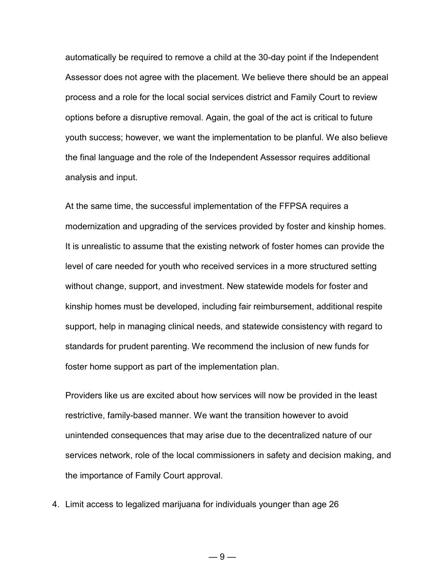automatically be required to remove a child at the 30-day point if the Independent Assessor does not agree with the placement. We believe there should be an appeal process and a role for the local social services district and Family Court to review options before a disruptive removal. Again, the goal of the act is critical to future youth success; however, we want the implementation to be planful. We also believe the final language and the role of the Independent Assessor requires additional analysis and input.

At the same time, the successful implementation of the FFPSA requires a modernization and upgrading of the services provided by foster and kinship homes. It is unrealistic to assume that the existing network of foster homes can provide the level of care needed for youth who received services in a more structured setting without change, support, and investment. New statewide models for foster and kinship homes must be developed, including fair reimbursement, additional respite support, help in managing clinical needs, and statewide consistency with regard to standards for prudent parenting. We recommend the inclusion of new funds for foster home support as part of the implementation plan.

Providers like us are excited about how services will now be provided in the least restrictive, family-based manner. We want the transition however to avoid unintended consequences that may arise due to the decentralized nature of our services network, role of the local commissioners in safety and decision making, and the importance of Family Court approval.

4. Limit access to legalized marijuana for individuals younger than age 26

 $-9-$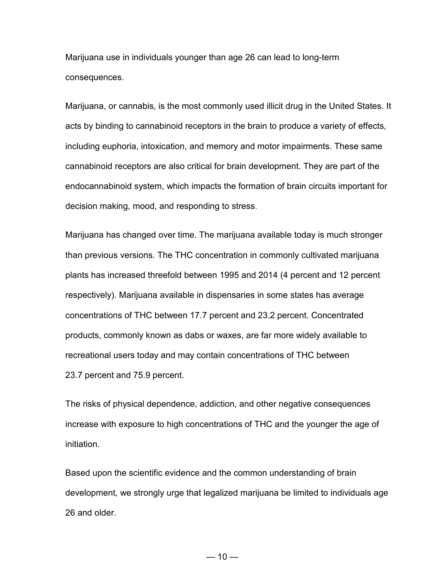Marijuana use in individuals younger than age 26 can lead to long-term consequences.

Marijuana, or cannabis, is the most commonly used illicit drug in the United States. It acts by binding to cannabinoid receptors in the brain to produce a variety of effects, including euphoria, intoxication, and memory and motor impairments. These same cannabinoid receptors are also critical for brain development. They are part of the endocannabinoid system, which impacts the formation of brain circuits important for decision making, mood, and responding to stres[s.](https://www.hhs.gov/surgeongeneral/reports-and-publications/addiction-and-substance-misuse/advisory-on-marijuana-use-and-developing-brain/index.html#footnote1_exfmlq5)

Marijuana has changed over time. The marijuana available today is much stronger than previous versions. The THC concentration in commonly cultivated marijuana plants has increased threefold between 1995 and 2014 (4 percent and 12 percent respectively). Marijuana available in dispensaries in some states has average concentrations of THC between 17.7 percent and 23.2 percent. Concentrated products, commonly known as dabs or waxes, are far more widely available to recreational users today and may contain concentrations of THC between 23.7 percent and 75.9 percent.

The risks of physical dependence, addiction, and other negative consequences increase with exposure to high concentrations of THC and the younger the age of initiation.

Based upon the scientific evidence and the common understanding of brain development, we strongly urge that legalized marijuana be limited to individuals age 26 and older.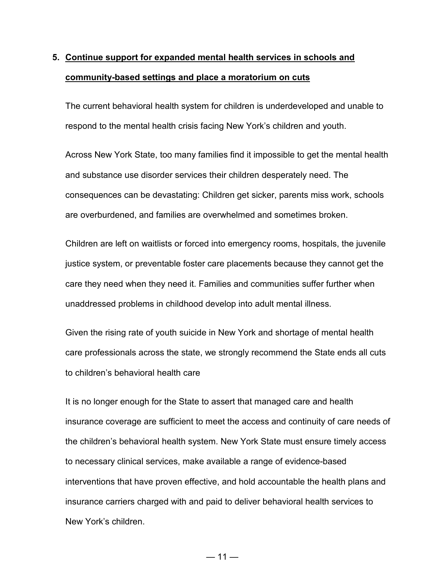## **5. Continue support for expanded mental health services in schools and community-based settings and place a moratorium on cuts**

The current behavioral health system for children is underdeveloped and unable to respond to the mental health crisis facing New York's children and youth.

Across New York State, too many families find it impossible to get the mental health and substance use disorder services their children desperately need. The consequences can be devastating: Children get sicker, parents miss work, schools are overburdened, and families are overwhelmed and sometimes broken.

Children are left on waitlists or forced into emergency rooms, hospitals, the juvenile justice system, or preventable foster care placements because they cannot get the care they need when they need it. Families and communities suffer further when unaddressed problems in childhood develop into adult mental illness.

Given the rising rate of youth suicide in New York and shortage of mental health care professionals across the state, we strongly recommend the State ends all cuts to children's behavioral health care

It is no longer enough for the State to assert that managed care and health insurance coverage are sufficient to meet the access and continuity of care needs of the children's behavioral health system. New York State must ensure timely access to necessary clinical services, make available a range of evidence-based interventions that have proven effective, and hold accountable the health plans and insurance carriers charged with and paid to deliver behavioral health services to New York's children.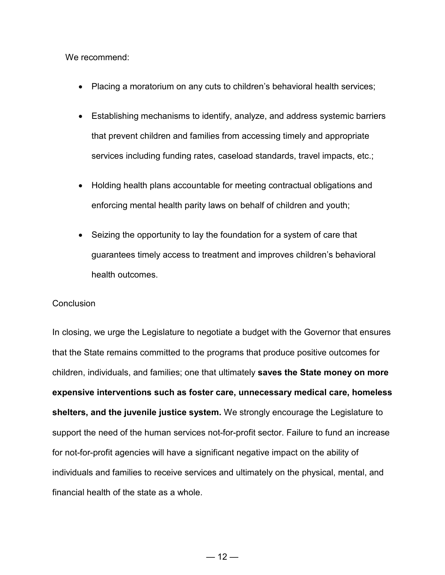We recommend:

- Placing a moratorium on any cuts to children's behavioral health services;
- Establishing mechanisms to identify, analyze, and address systemic barriers that prevent children and families from accessing timely and appropriate services including funding rates, caseload standards, travel impacts, etc.;
- Holding health plans accountable for meeting contractual obligations and enforcing mental health parity laws on behalf of children and youth;
- Seizing the opportunity to lay the foundation for a system of care that guarantees timely access to treatment and improves children's behavioral health outcomes.

#### **Conclusion**

In closing, we urge the Legislature to negotiate a budget with the Governor that ensures that the State remains committed to the programs that produce positive outcomes for children, individuals, and families; one that ultimately **saves the State money on more expensive interventions such as foster care, unnecessary medical care, homeless shelters, and the juvenile justice system.** We strongly encourage the Legislature to support the need of the human services not-for-profit sector. Failure to fund an increase for not-for-profit agencies will have a significant negative impact on the ability of individuals and families to receive services and ultimately on the physical, mental, and financial health of the state as a whole.